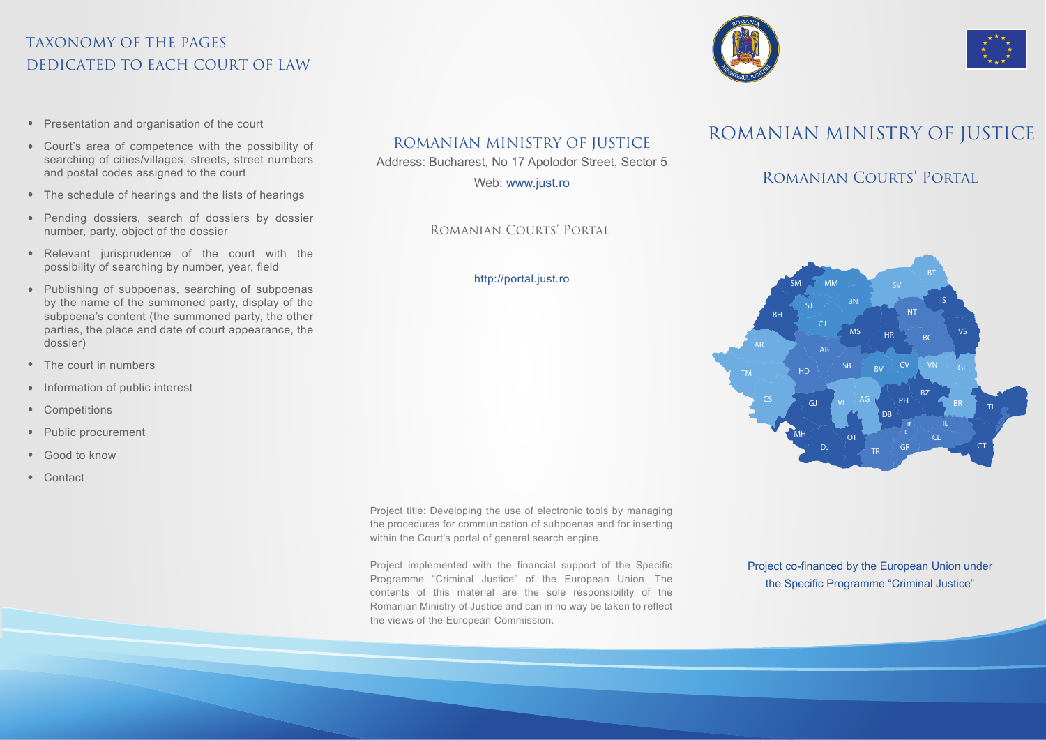# TAXONOMY OF THE PAGES DEDICATED TO EACH COURT OF LAW

- Presentation and organisation of the court
- Court's area of competence with the possibility of searching of cities/villages, streets, street numbers and postal codes assigned to the court
- The schedule of hearings and the lists of hearings
- Pending dossiers, search of dossiers by dossier number, party, object of the dossier
- Relevant jurisprudence of the court with the possibility of searching by number, year, field
- Publishing of subpoenas, searching of subpoenas by the name of the summoned party, display of the subpoena's content (the summoned party, the other parties, the place and date of court appearance, the dossier)
- $\bullet$ The court in numbers
- Information of public interest
- Competitions
- Public procurement  $\bullet$  .
- Good to know  $\bullet$
- Contact

# ROMANIAN MINISTRY OF JUSTICE

Address: Bucharest, No 17 Apolodor Street, Sector 5

Web: www.just.ro

### Romanian Courts' Portal

#### http://portal.just.ro

Project title: Developing the use of electronic tools by managing the procedures for communication of subpoenas and for inserting within the Court's portal of general search engine.

Project implemented with the financial support of the Specific Programme "Criminal Justice" of the European Union. The contents of this material are the sole responsibility of the Romanian Ministry of Justice and can in no way be taken to reflect the views of the European Commission.

ROMANIAN MINISTRY OF JUSTICE

## ROMANIAN COURTS' PORTAL



Project co-financed by the European Union under the Specific Programme "Criminal Justice"